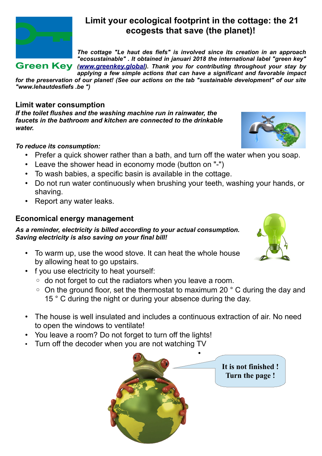

# **Limit your ecological footprint in the cottage: the 21 ecogests that save (the planet)!**

*The cottage "Le haut des fiefs" is involved since its creation in an approach "ecosustainable" . It obtained in januari 2018 the international label "green key"* **Green Key** ([www.greenkey.global](http://www.greenkey.global/)). Thank you for contributing throughout your stay by *applying a few simple actions that can have a significant and favorable impact*

*for the preservation of our planet! (See our actions on the tab "sustainable development" of our site "www.lehautdesfiefs .be ")*

# **Limit water consumption**

*If the toilet flushes and the washing machine run in rainwater, the faucets in the bathroom and kitchen are connected to the drinkable water.*

#### *To reduce its consumption:*

- Prefer a quick shower rather than a bath, and turn off the water when you soap.
- Leave the shower head in economy mode (button on "-")
- To wash babies, a specific basin is available in the cottage.
- Do not run water continuously when brushing your teeth, washing your hands, or shaving.
- Report any water leaks.

# **Economical energy management**

*As a reminder, electricity is billed according to your actual consumption. Saving electricity is also saving on your final bill!*

- To warm up, use the wood stove. It can heat the whole house by allowing heat to go upstairs.
- f you use electricity to heat yourself:
	- do not forget to cut the radiators when you leave a room.
	- On the ground floor, set the thermostat to maximum 20 ° C during the day and 15 ° C during the night or during your absence during the day.
- The house is well insulated and includes a continuous extraction of air. No need to open the windows to ventilate!
- You leave a room? Do not forget to turn off the lights!
- Turn off the decoder when you are not watching TV